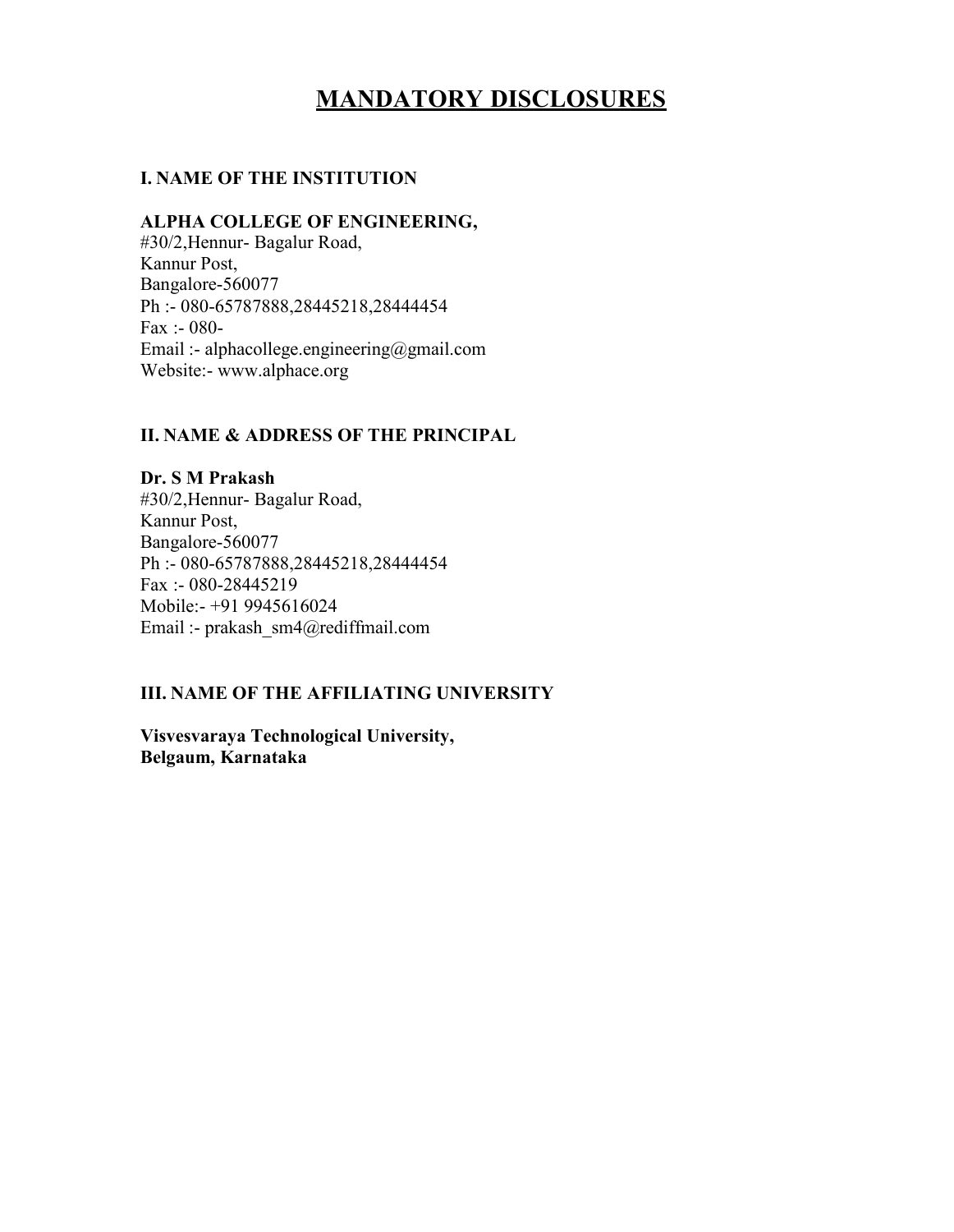# MAND AOR YDISLOOSURES

I.NAME OF HEIN SITUTON

ALPHA COLLEGE OF ENGINEERING  $#30/2$ , He $\text{Baqalur Road}$ , Kannur Post, Bangalore-560707 Ph - 08 65 7 8 7 8 8 8 4 5 2 8 8 4 4 4 5 4 Fax:-080 Emaih alphac[ollege.enginee](mailto:engineering@gmail.com)ring@gmail.com Webste:-www.alphaoorea

IIN AME & ADDRESS OF THEPRINCIPAL

 $Dr.S M$  Raash  $#30/2$ , He $\text{Ba}$ galur Road, Kannur Post, Bangalore-560077 Ph -: 08 46 5 7 8 7,8288 4 4 5 2 1 8 , 2 8 4 4 4 4 5 4 Fax:-080-28445219 Mobile91 9945616024 Emai[prakash\\_sm4@red](mailto:prakash_sm4@rediffmail.com)iffmail.com

IIIN AME OF HEAFFILIATING UNIVERSITY

Visesvaaya Tehenolojogal Nolvesity, Belgam, Karnataka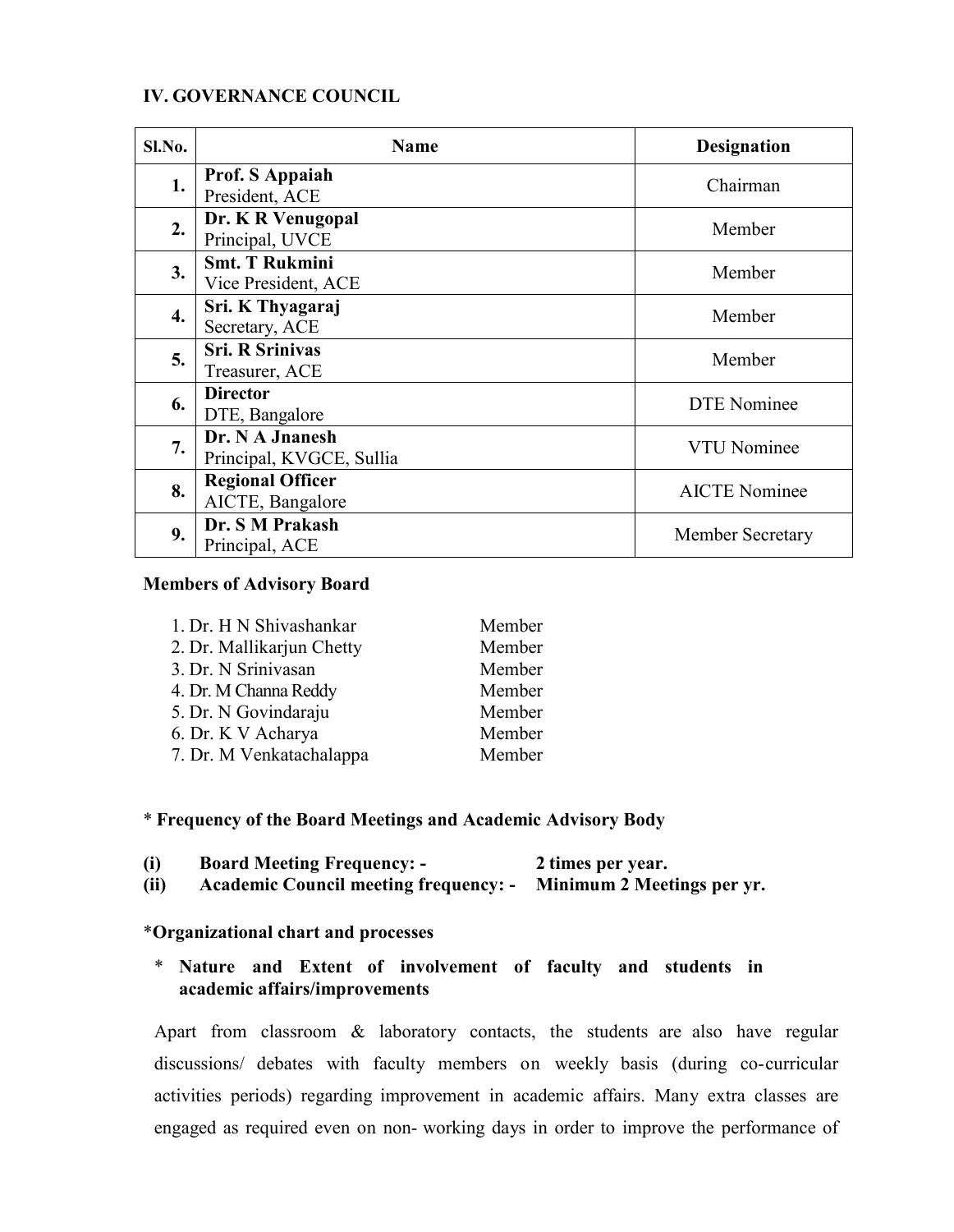#### **IV. GOVERNANCE COUNCIL**

| Sl.No.           | <b>Name</b>                                  | <b>Designation</b>      |
|------------------|----------------------------------------------|-------------------------|
| 1.               | Prof. S Appaiah<br>President, ACE            | Chairman                |
| 2.               | Dr. K R Venugopal<br>Principal, UVCE         | Member                  |
| 3.               | <b>Smt. T Rukmini</b><br>Vice President, ACE | Member                  |
| $\overline{4}$ . | Sri. K Thyagaraj<br>Secretary, ACE           | Member                  |
| 5.               | <b>Sri. R Srinivas</b><br>Treasurer, ACE     | Member                  |
| 6.               | <b>Director</b><br>DTE, Bangalore            | <b>DTE</b> Nominee      |
| 7.               | Dr. N A Jnanesh<br>Principal, KVGCE, Sullia  | <b>VTU</b> Nominee      |
| 8.               | <b>Regional Officer</b><br>AICTE, Bangalore  | <b>AICTE Nominee</b>    |
| 9.               | Dr. S M Prakash<br>Principal, ACE            | <b>Member Secretary</b> |

#### **Members of Advisory Board**

| 1. Dr. H N Shivashankar   | Member |
|---------------------------|--------|
| 2. Dr. Mallikarjun Chetty | Member |
| 3. Dr. N Srinivasan       | Member |
| 4. Dr. M Channa Reddy     | Member |
| 5. Dr. N Govindaraju      | Member |
| 6. Dr. K V Acharya        | Member |
| 7. Dr. M Venkatachalappa  | Member |

## \* **Frequency of the Board Meetings and Academic Advisory Body**

| (i)  | <b>Board Meeting Frequency: -</b>            | 2 times per year.          |
|------|----------------------------------------------|----------------------------|
| (ii) | <b>Academic Council meeting frequency: -</b> | Minimum 2 Meetings per yr. |

#### \***Organizational chart and processes**

### \* **Nature and Extent of involvement of faculty and students in academic affairs/improvements**

Apart from classroom & laboratory contacts, the students are also have regular discussions/ debates with faculty members on weekly basis (during co-curricular activities periods) regarding improvement in academic affairs. Many extra classes are engaged as required even on non- working days in order to improve the performance of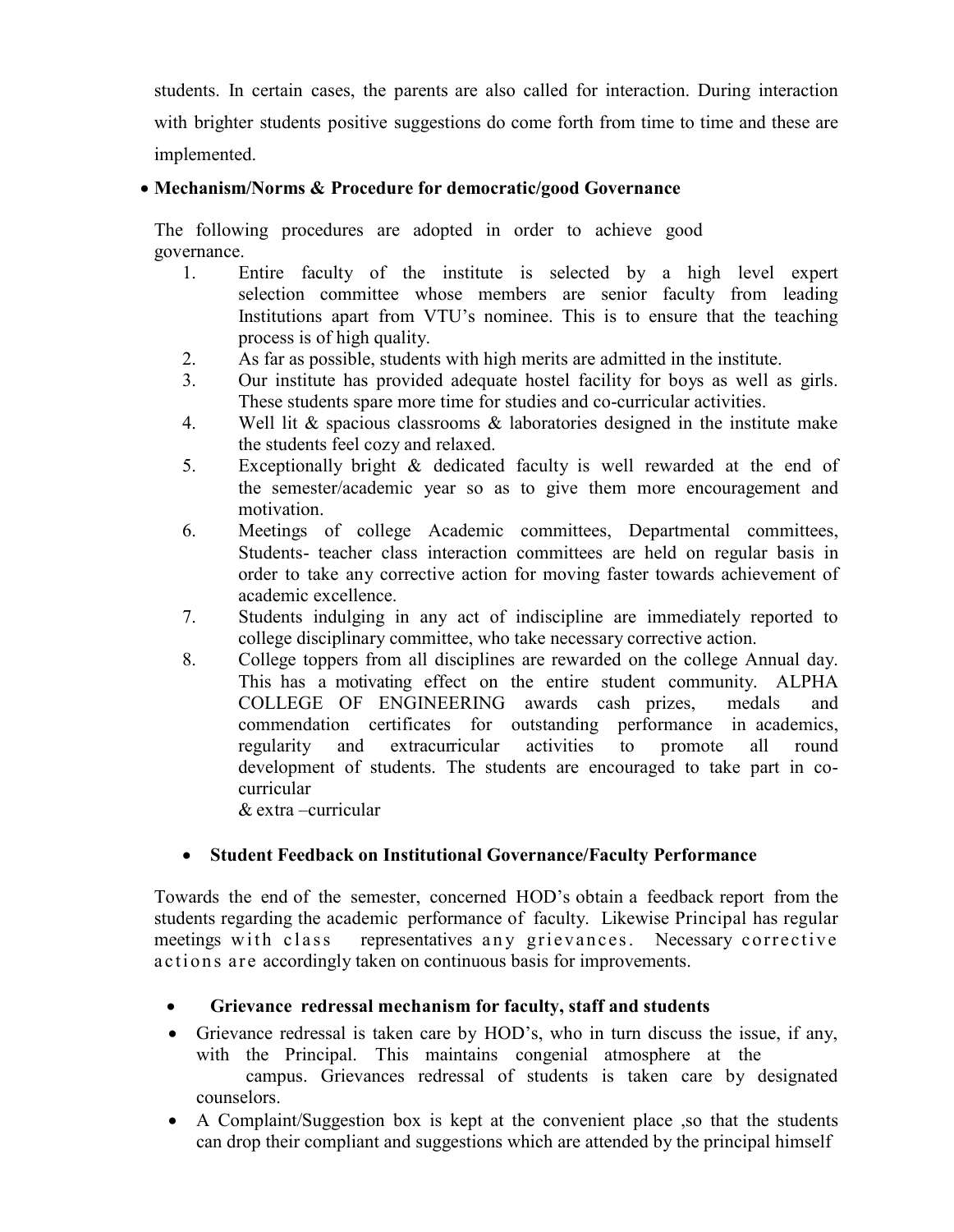students. In certain cases, the parents are also called for interaction. During interaction with brighter students positive suggestions do come forth from time to time and these are implemented.

### **Mechanism/Norms & Procedure for democratic/good Governance**

The following procedures are adopted in order to achieve good governance.

- 1. Entire faculty of the institute is selected by a high level expert selection committee whose members are senior faculty from leading Institutions apart from VTU's nominee. This is to ensure that the teaching process is of high quality.
- 2. As far as possible, students with high merits are admitted in the institute.
- 3. Our institute has provided adequate hostel facility for boys as well as girls. These students spare more time for studies and co-curricular activities.
- 4. Well lit & spacious classrooms & laboratories designed in the institute make the students feel cozy and relaxed.
- 5. Exceptionally bright & dedicated faculty is well rewarded at the end of the semester/academic year so as to give them more encouragement and motivation.
- 6. Meetings of college Academic committees, Departmental committees, Students- teacher class interaction committees are held on regular basis in order to take any corrective action for moving faster towards achievement of academic excellence.
- 7. Students indulging in any act of indiscipline are immediately reported to college disciplinary committee, who take necessary corrective action.
- 8. College toppers from all disciplines are rewarded on the college Annual day. This has a motivating effect on the entire student community. ALPHA COLLEGE OF ENGINEERING awards cash prizes, medals and commendation certificates for outstanding performance in academics, regularity and extracurricular activities to promote all round development of students. The students are encouraged to take part in cocurricular

& extra –curricular

## **Student Feedback on Institutional Governance/Faculty Performance**

Towards the end of the semester, concerned HOD's obtain a feedback report from the students regarding the academic performance of faculty. Likewise Principal has regular meetings with class representatives any grievances. Necessary corrective actions are accordingly taken on continuous basis for improvements.

- **Grievance redressal mechanism for faculty, staff and students**
- Grievance redressal is taken care by HOD's, who in turn discuss the issue, if any, with the Principal. This maintains congenial atmosphere at the campus. Grievances redressal of students is taken care by designated counselors.
- A Complaint/Suggestion box is kept at the convenient place ,so that the students can drop their compliant and suggestions which are attended by the principal himself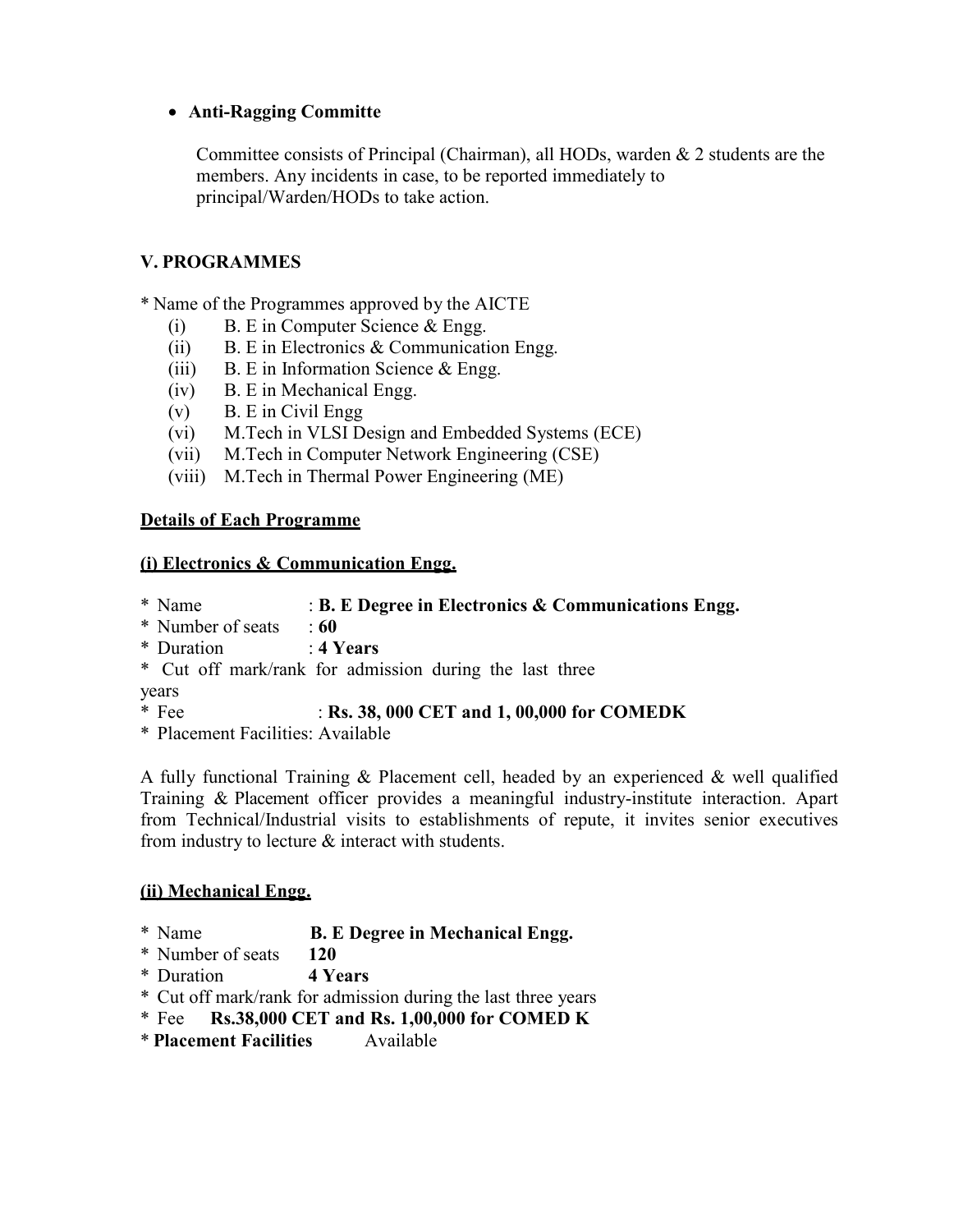#### **Anti-Ragging Committe**

Committee consists of Principal (Chairman), all HODs, warden & 2 students are the members. Any incidents in case, to be reported immediately to principal/Warden/HODs to take action.

#### **V. PROGRAMMES**

- \* Name of the Programmes approved by the AICTE
	- (i) B. E in Computer Science & Engg.
	- (ii) B. E in Electronics  $&$  Communication Engg.
	- (iii) B. E in Information Science  $\&$  Engg.
	- (iv) B. E in Mechanical Engg.
	- $(v)$  B. E in Civil Engg
	- (vi) M.Tech in VLSI Design and Embedded Systems (ECE)
	- (vii) M.Tech in Computer Network Engineering (CSE)
	- (viii) M.Tech in Thermal Power Engineering (ME)

#### **Details of Each Programme**

#### **(i) Electronics & Communication Engg.**

- \* Name : **B. E Degree in Electronics & Communications Engg.**
- \* Number of seats : **60**
- \* Duration : **4 Years**
- \* Cut off mark/rank for admission during the last three
- years

#### \* Fee : **Rs. 38, 000 CET and 1, 00,000 for COMEDK**

\* Placement Facilities: Available

A fully functional Training  $\&$  Placement cell, headed by an experienced  $\&$  well qualified Training & Placement officer provides a meaningful industry-institute interaction. Apart from Technical/Industrial visits to establishments of repute, it invites senior executives from industry to lecture & interact with students.

#### **(ii) Mechanical Engg.**

- \* Name **B. E Degree in Mechanical Engg.**
- \* Number of seats **120**
- \* Duration **4 Years**
- \* Cut off mark/rank for admission during the last three years
- \* Fee **Rs.38,000 CET and Rs. 1,00,000 for COMED K**
- \* **Placement Facilities** Available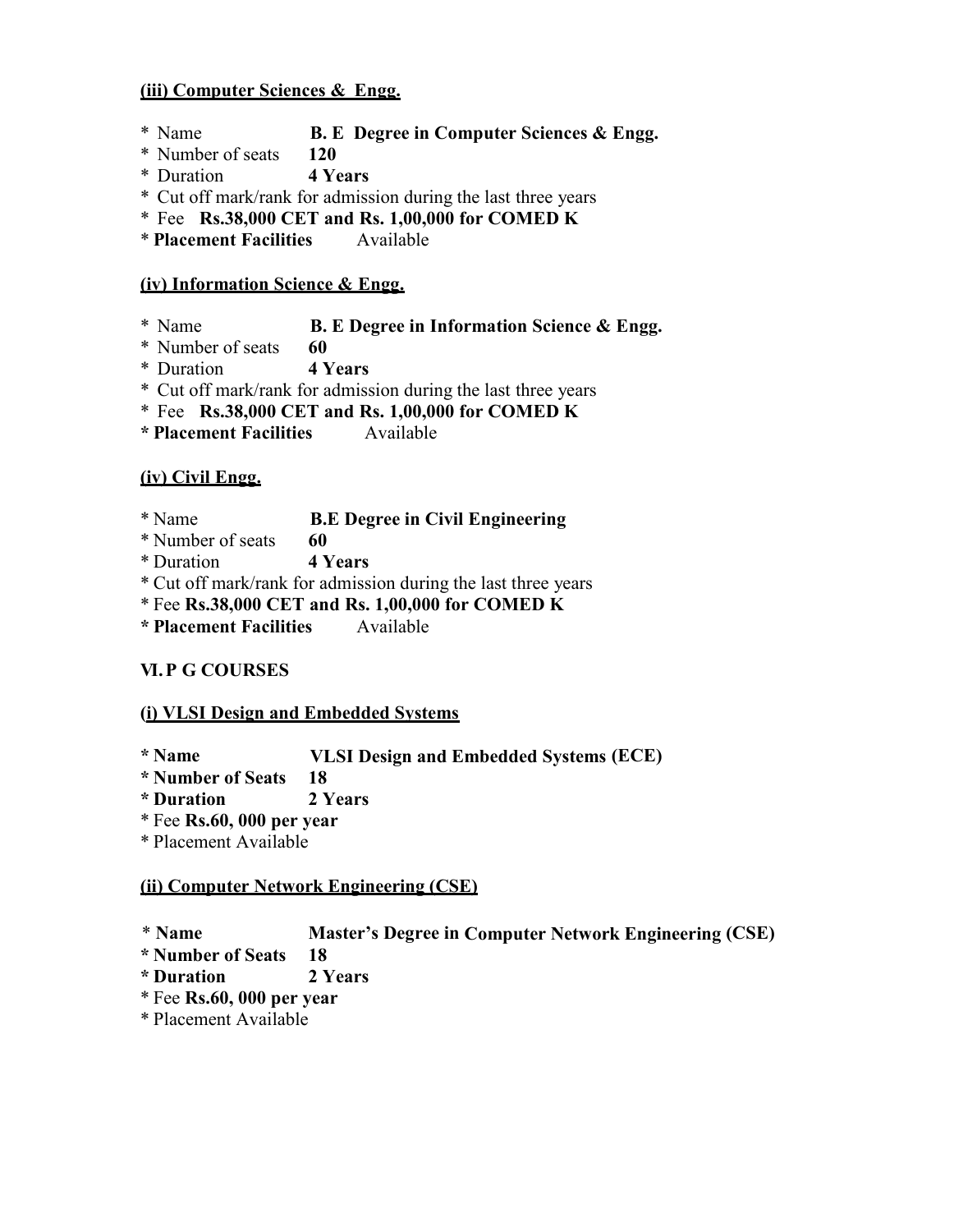#### **(iii) Computer Sciences & Engg.**

- \* Name **B. E Degree in Computer Sciences & Engg.**
- \* Number of seats **120**
- \* Duration **4 Years**
- \* Cut off mark/rank for admission during the last three years
- \* Fee **Rs.38,000 CET and Rs. 1,00,000 for COMED K**
- \* **Placement Facilities** Available

#### **(iv) Information Science & Engg.**

- \* Name **B. E Degree in Information Science & Engg.**
- \* Number of seats **60**
- \* Duration **4 Years**
- \* Cut off mark/rank for admission during the last three years
- \* Fee **Rs.38,000 CET and Rs. 1,00,000 for COMED K**
- **\* Placement Facilities** Available

### **(iv) Civil Engg.**

- \* Name **B.E Degree in Civil Engineering**
- \* Number of seats **60**
- \* Duration **4 Years**
- \* Cut off mark/rank for admission during the last three years
- \* Fee **Rs.38,000 CET and Rs. 1,00,000 for COMED K**
- **\* Placement Facilities** Available

## **VI .P G COURSES**

#### **(i) VLSI Design and Embedded Systems**

- **\* Name VLSI Design and Embedded Systems (ECE)**
	-
- **\* Number of Seats 18 \* Duration 2 Years**
- \* Fee **Rs.60, 000 per year**
- \* Placement Available

## **(ii) Computer Network Engineering (CSE)**

\* **Name Master's Degree in Computer Network Engineering (CSE)**

- **\* Number of Seats 18**
- **\* Duration 2 Years**
- \* Fee **Rs.60, 000 per year**
- \* Placement Available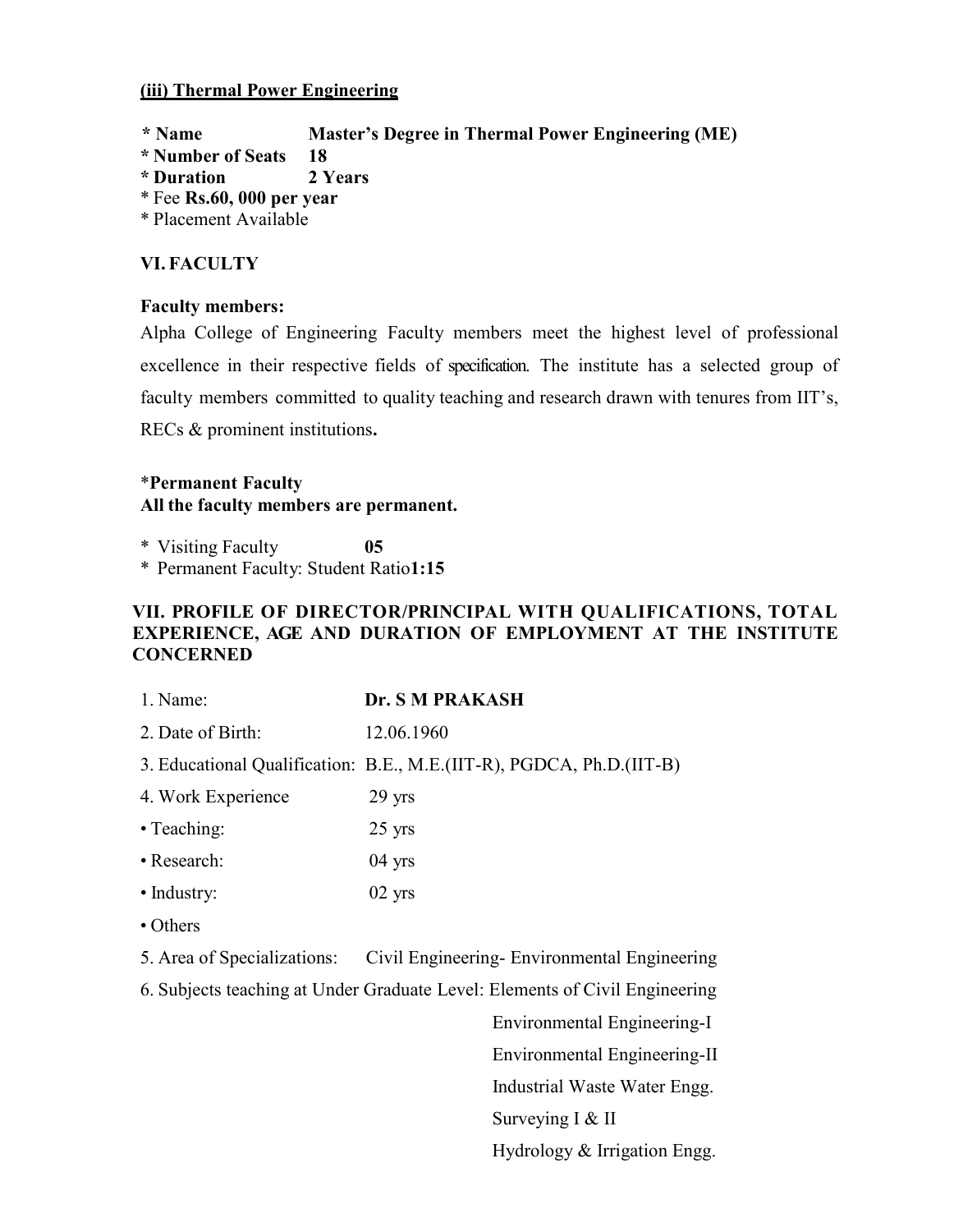#### **(iii) Thermal Power Engineering**

**\* Name Master's Degree in Thermal Power Engineering (ME)**

- **\* Number of Seats 18**
- **\* Duration 2 Years**
- \* Fee **Rs.60, 000 per year**
- \* Placement Available

## **VI. FACULTY**

### **Faculty members:**

Alpha College of Engineering Faculty members meet the highest level of professional excellence in their respective fields of specification. The institute has a selected group of faculty members committed to quality teaching and research drawn with tenures from IIT's, RECs & prominent institutions**.**

### \***Permanent Faculty All the faculty members are permanent.**

\* Visiting Faculty **05**

\* Permanent Faculty: Student Ratio**1:15**

### **VII. PROFILE OF DIRECTOR/PRINCIPAL WITH QUALIFICATIONS, TOTAL EXPERIENCE, AGE AND DURATION OF EMPLOYMENT AT THE INSTITUTE CONCERNED**

- 1. Name: **Dr. S M PRAKASH**
- 2. Date of Birth: 12.06.1960
- 3. Educational Qualification: B.E., M.E.(IIT-R), PGDCA, Ph.D.(IIT-B)
- 4. Work Experience 29 yrs
- Teaching: 25 yrs
- Research: 04 yrs
- Industry: 02 yrs
- Others
- 5. Area of Specializations: Civil Engineering- Environmental Engineering
- 6. Subjects teaching at Under Graduate Level: Elements of Civil Engineering

Environmental Engineering-I Environmental Engineering-II Industrial Waste Water Engg. Surveying I & II Hydrology & Irrigation Engg.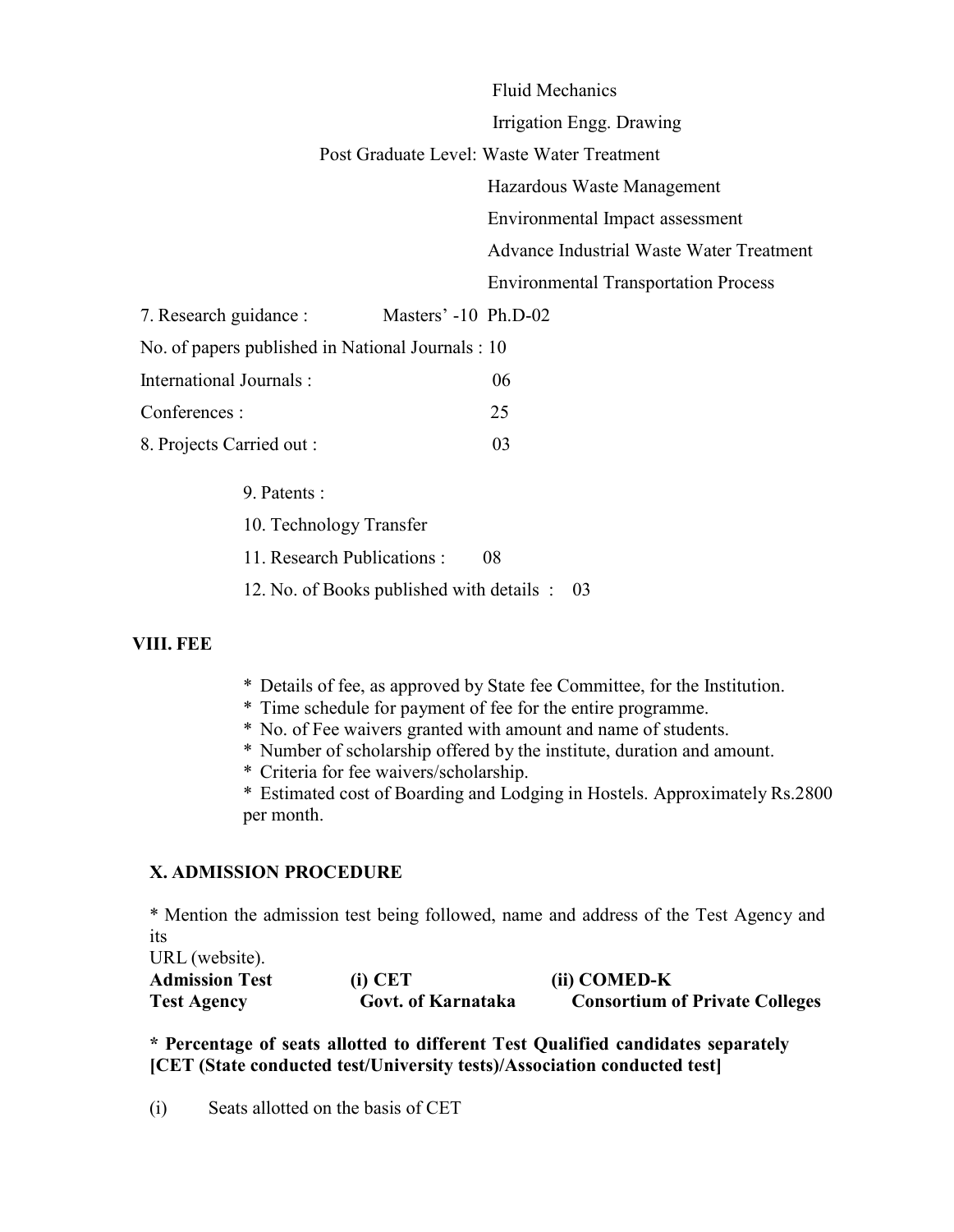|                                                   | <b>Fluid Mechanics</b>                      |
|---------------------------------------------------|---------------------------------------------|
|                                                   | Irrigation Engg. Drawing                    |
|                                                   | Post Graduate Level: Waste Water Treatment  |
|                                                   | Hazardous Waste Management                  |
|                                                   | Environmental Impact assessment             |
|                                                   | Advance Industrial Waste Water Treatment    |
|                                                   | <b>Environmental Transportation Process</b> |
| 7. Research guidance :<br>Masters' -10 Ph.D-02    |                                             |
| No. of papers published in National Journals : 10 |                                             |
| International Journals :                          | 06                                          |
| Conferences:                                      | 25                                          |
| 8. Projects Carried out :                         | 03                                          |
| 9. Patents :                                      |                                             |
| 10. Technology Transfer                           |                                             |

- 11. Research Publications : 08
- 12. No. of Books published with details : 03

#### **VIII. FEE**

- \* Details of fee, as approved by State fee Committee, for the Institution.
- \* Time schedule for payment of fee for the entire programme.
- \* No. of Fee waivers granted with amount and name of students.
- \* Number of scholarship offered by the institute, duration and amount.
- \* Criteria for fee waivers/scholarship.

\* Estimated cost of Boarding and Lodging in Hostels. Approximately Rs.2800 per month.

#### **X. ADMISSION PROCEDURE**

\* Mention the admission test being followed, name and address of the Test Agency and its

| URL (website).        |                    |                                       |
|-----------------------|--------------------|---------------------------------------|
| <b>Admission Test</b> | $(i)$ CET          | (ii) COMED-K                          |
| <b>Test Agency</b>    | Govt. of Karnataka | <b>Consortium of Private Colleges</b> |

**\* Percentage of seats allotted to different Test Qualified candidates separately [CET (State conducted test/University tests)/Association conducted test]**

(i) Seats allotted on the basis of CET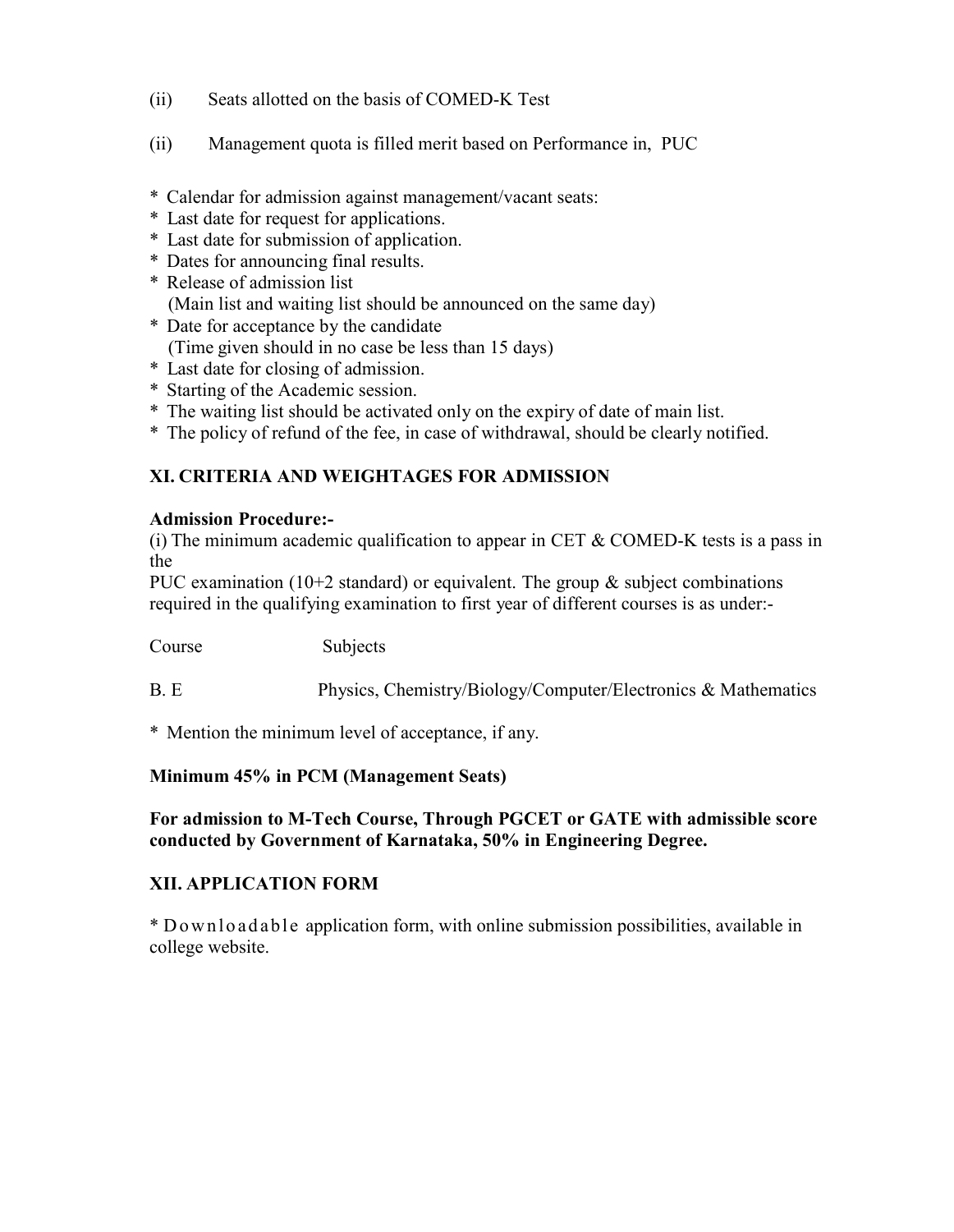- (ii) Seats allotted on the basis of COMED-K Test
- (ii) Management quota is filled merit based on Performance in, PUC
- \* Calendar for admission against management/vacant seats:
- \* Last date for request for applications.
- \* Last date for submission of application.
- \* Dates for announcing final results.
- \* Release of admission list (Main list and waiting list should be announced on the same day)
- \* Date for acceptance by the candidate (Time given should in no case be less than 15 days)
- \* Last date for closing of admission.
- \* Starting of the Academic session.
- \* The waiting list should be activated only on the expiry of date of main list.
- \* The policy of refund of the fee, in case of withdrawal, should be clearly notified.

## **XI. CRITERIA AND WEIGHTAGES FOR ADMISSION**

#### **Admission Procedure:-**

(i) The minimum academic qualification to appear in CET  $&$  COMED-K tests is a pass in the

PUC examination (10+2 standard) or equivalent. The group  $\&$  subject combinations required in the qualifying examination to first year of different courses is as under:-

Course Subjects

B. E Physics, Chemistry/Biology/Computer/Electronics & Mathematics

\* Mention the minimum level of acceptance, if any.

#### **Minimum 45% in PCM (Management Seats)**

**For admission to M-Tech Course, Through PGCET or GATE with admissible score conducted by Government of Karnataka, 50% in Engineering Degree.**

#### **XII. APPLICATION FORM**

\* D o w nl o a d a bl e application form, with online submission possibilities, available in college website.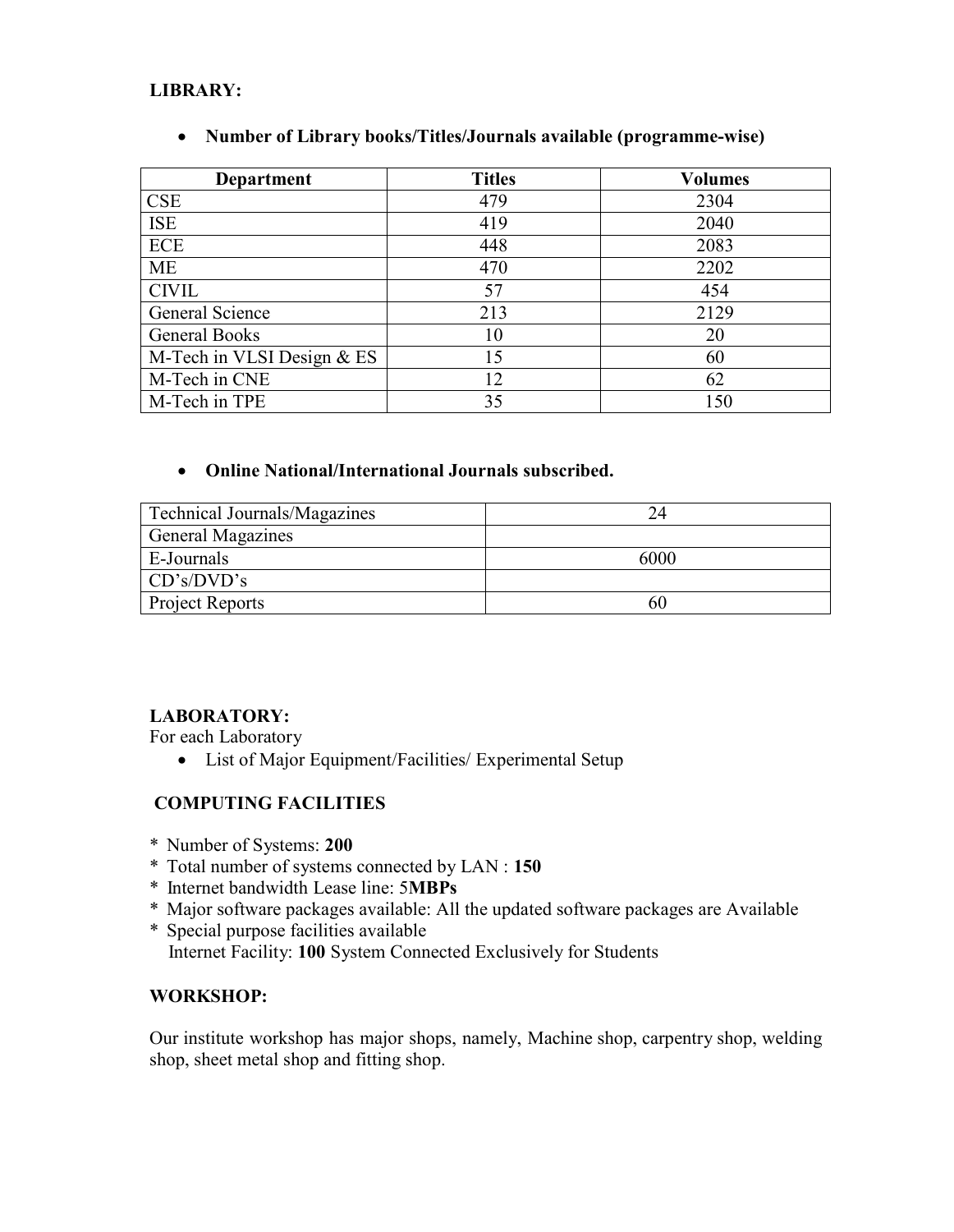### **LIBRARY:**

| <b>Department</b>          | <b>Titles</b> | <b>Volumes</b> |
|----------------------------|---------------|----------------|
| <b>CSE</b>                 | 479           | 2304           |
| <b>ISE</b>                 | 419           | 2040           |
| <b>ECE</b>                 | 448           | 2083           |
| <b>ME</b>                  | 470           | 2202           |
| <b>CIVIL</b>               | 57            | 454            |
| General Science            | 213           | 2129           |
| <b>General Books</b>       | 10            | 20             |
| M-Tech in VLSI Design & ES | 15            | 60             |
| M-Tech in CNE              | 12            | 62             |
| M-Tech in TPE              | 35            | 150            |

#### **Number of Library books/Titles/Journals available (programme-wise)**

### **Online National/International Journals subscribed.**

| Technical Journals/Magazines |      |
|------------------------------|------|
| <b>General Magazines</b>     |      |
| E-Journals                   | 6000 |
| CD's/DVD's                   |      |
| <b>Project Reports</b>       | hl.  |

## **LABORATORY:**

For each Laboratory

List of Major Equipment/Facilities/ Experimental Setup

## **COMPUTING FACILITIES**

- \* Number of Systems: **200**
- \* Total number of systems connected by LAN : **150**
- \* Internet bandwidth Lease line: 5**MBPs**
- \* Major software packages available: All the updated software packages are Available
- \* Special purpose facilities available Internet Facility: **100** System Connected Exclusively for Students

#### **WORKSHOP:**

Our institute workshop has major shops, namely, Machine shop, carpentry shop, welding shop, sheet metal shop and fitting shop.